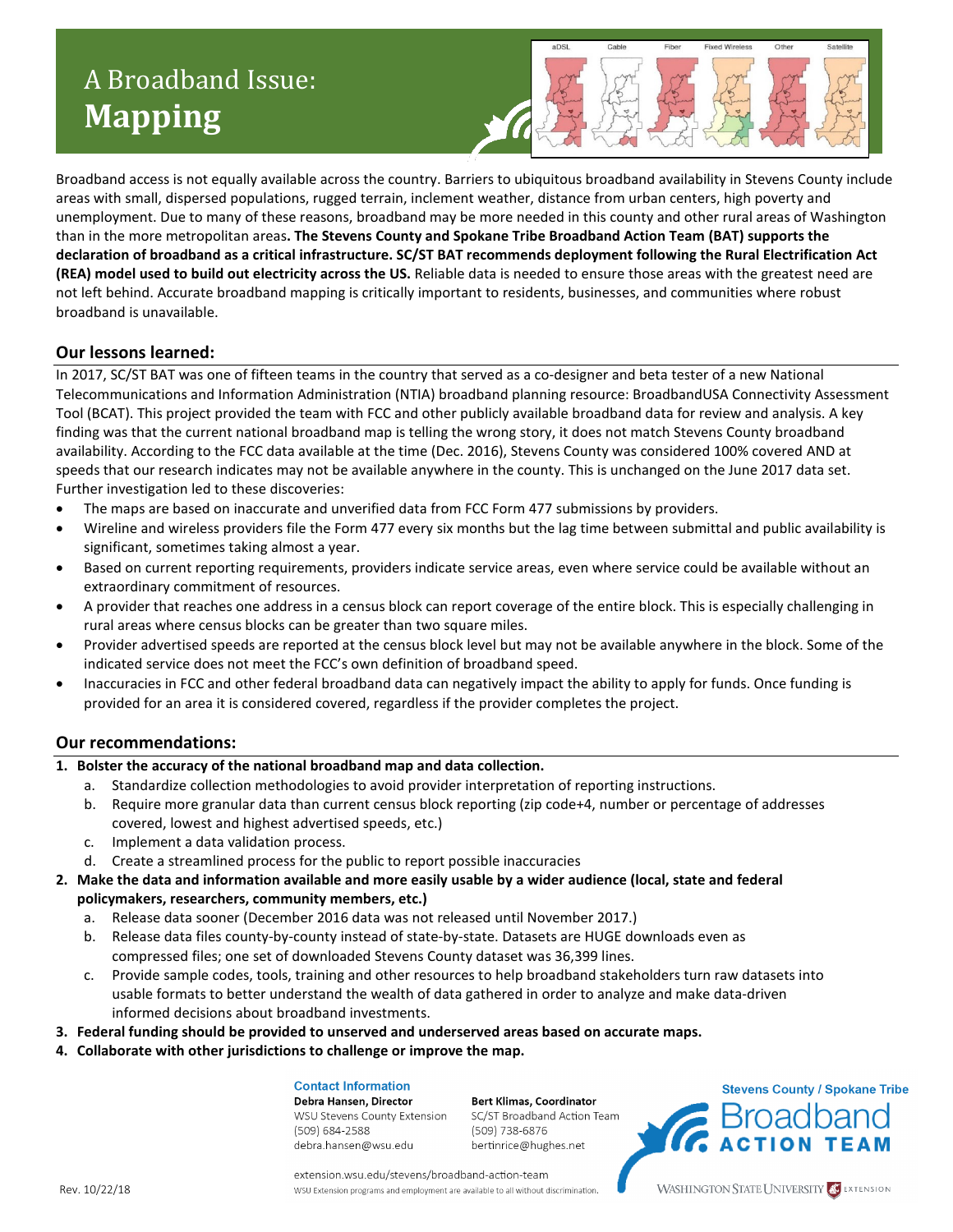# A Broadband Issue: **Mapping**



Broadband access is not equally available across the country. Barriers to ubiquitous broadband availability in Stevens County include areas with small, dispersed populations, rugged terrain, inclement weather, distance from urban centers, high poverty and unemployment. Due to many of these reasons, broadband may be more needed in this county and other rural areas of Washington than in the more metropolitan areas**. The Stevens County and Spokane Tribe Broadband Action Team (BAT) supports the declaration of broadband as a critical infrastructure. SC/ST BAT recommends deployment following the Rural Electrification Act (REA) model used to build out electricity across the US.** Reliable data is needed to ensure those areas with the greatest need are not left behind. Accurate broadband mapping is critically important to residents, businesses, and communities where robust broadband is unavailable.

### **Our lessons learned:**

In 2017, SC/ST BAT was one of fifteen teams in the country that served as a co-designer and beta tester of a new National Telecommunications and Information Administration (NTIA) broadband planning resource: BroadbandUSA Connectivity Assessment Tool (BCAT). This project provided the team with FCC and other publicly available broadband data for review and analysis. A key finding was that the current national broadband map is telling the wrong story, it does not match Stevens County broadband availability. According to the FCC data available at the time (Dec. 2016), Stevens County was considered 100% covered AND at speeds that our research indicates may not be available anywhere in the county. This is unchanged on the June 2017 data set. Further investigation led to these discoveries:

- The maps are based on inaccurate and unverified data from FCC Form 477 submissions by providers.
- Wireline and wireless providers file the Form 477 every six months but the lag time between submittal and public availability is significant, sometimes taking almost a year.
- Based on current reporting requirements, providers indicate service areas, even where service could be available without an extraordinary commitment of resources.
- A provider that reaches one address in a census block can report coverage of the entire block. This is especially challenging in rural areas where census blocks can be greater than two square miles.
- Provider advertised speeds are reported at the census block level but may not be available anywhere in the block. Some of the indicated service does not meet the FCC's own definition of broadband speed.
- Inaccuracies in FCC and other federal broadband data can negatively impact the ability to apply for funds. Once funding is provided for an area it is considered covered, regardless if the provider completes the project.

#### **Our recommendations:**

#### **1. Bolster the accuracy of the national broadband map and data collection.**

- a. Standardize collection methodologies to avoid provider interpretation of reporting instructions.
- b. Require more granular data than current census block reporting (zip code+4, number or percentage of addresses covered, lowest and highest advertised speeds, etc.)
- c. Implement a data validation process.
- d. Create a streamlined process for the public to report possible inaccuracies
- **2. Make the data and information available and more easily usable by a wider audience (local, state and federal policymakers, researchers, community members, etc.)**
	- a. Release data sooner (December 2016 data was not released until November 2017.)
	- b. Release data files county-by-county instead of state-by-state. Datasets are HUGE downloads even as compressed files; one set of downloaded Stevens County dataset was 36,399 lines.
	- c. Provide sample codes, tools, training and other resources to help broadband stakeholders turn raw datasets into usable formats to better understand the wealth of data gathered in order to analyze and make data-driven informed decisions about broadband investments.
- **3. Federal funding should be provided to unserved and underserved areas based on accurate maps.**
- **4. Collaborate with other jurisdictions to challenge or improve the map.**

#### **Contact Information** Debra Hansen, Director WSU Stevens County Extension (509) 684-2588 debra.hansen@wsu.edu

**Bert Klimas, Coordinator** SC/ST Broadband Action Team (509) 738-6876 bertinrice@hughes.net



extension.wsu.edu/stevens/broadband-action-team WSU Extension programs and employment are available to all without discrimination.

**WASHINGTON STATE UNIVERSITY AGE EXTENSION**